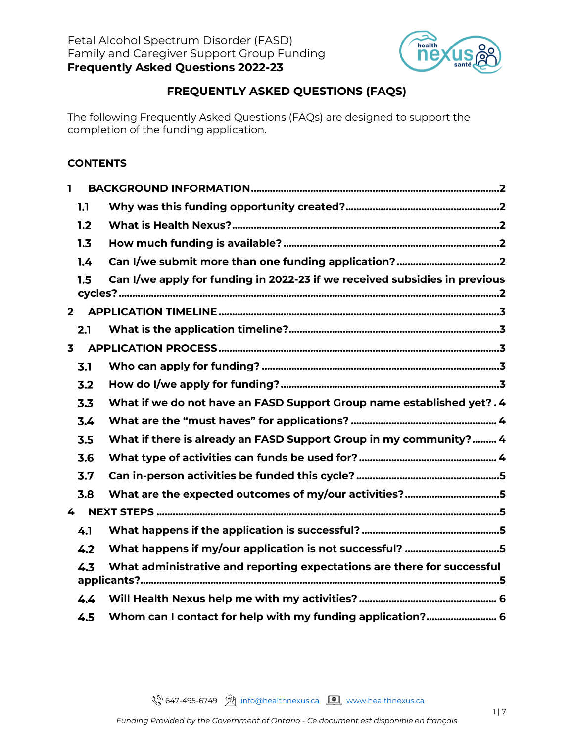

# **FREQUENTLY ASKED QUESTIONS (FAQS)**

The following Frequently Asked Questions (FAQs) are designed to support the completion of the funding application.

#### **CONTENTS**

| I.                      |             |                                                                            |
|-------------------------|-------------|----------------------------------------------------------------------------|
|                         | 1.1         |                                                                            |
|                         | 1.2         |                                                                            |
|                         | 1.3         |                                                                            |
|                         | 1.4         |                                                                            |
|                         | 1.5         | Can I/we apply for funding in 2022-23 if we received subsidies in previous |
|                         | $2^{\circ}$ |                                                                            |
|                         | 2.1         |                                                                            |
| $\overline{\mathbf{3}}$ |             |                                                                            |
|                         | 3.1         |                                                                            |
|                         | 3.2         |                                                                            |
|                         | 3.3         | What if we do not have an FASD Support Group name established yet?. 4      |
|                         | 3.4         |                                                                            |
|                         | 3.5         | What if there is already an FASD Support Group in my community? 4          |
|                         | 3.6         |                                                                            |
|                         | 3.7         |                                                                            |
|                         | 3.8         | What are the expected outcomes of my/our activities?5                      |
| 4                       |             |                                                                            |
|                         | 4.1         |                                                                            |
|                         | 4.2         | What happens if my/our application is not successful? 5                    |
|                         | 4.3         | What administrative and reporting expectations are there for successful    |
|                         | 4,4         |                                                                            |
|                         | 4.5         | Whom can I contact for help with my funding application? 6                 |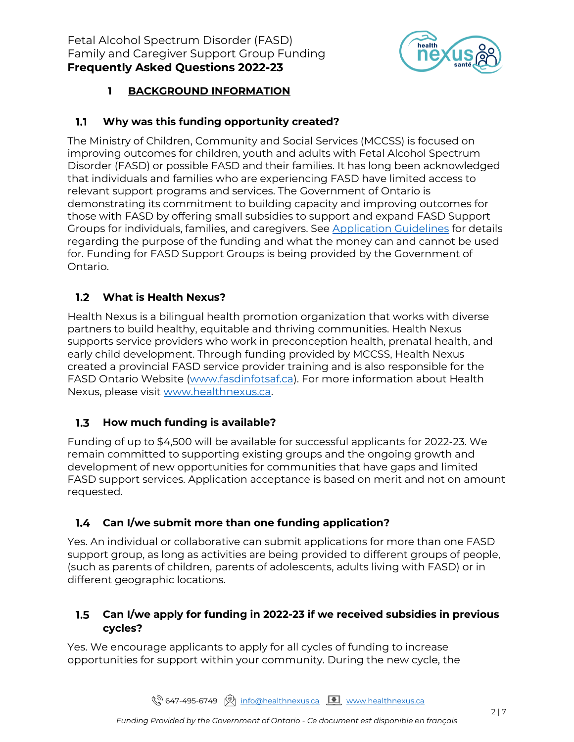

# **1 BACKGROUND INFORMATION**

#### <span id="page-1-1"></span><span id="page-1-0"></span>**Why was this funding opportunity created?**  $1.1$

The Ministry of Children, Community and Social Services (MCCSS) is focused on improving outcomes for children, youth and adults with Fetal Alcohol Spectrum Disorder (FASD) or possible FASD and their families. It has long been acknowledged that individuals and families who are experiencing FASD have limited access to relevant support programs and services. The Government of Ontario is demonstrating its commitment to building capacity and improving outcomes for those with FASD by offering small subsidies to support and expand FASD Support Groups for individuals, families, and caregivers. See [Application Guidelines](https://fasdinfotsaf.ca/wp-content/uploads/2022/06/FASDSubsidy_Guidelines_2022-23.pdf) for details regarding the purpose of the funding and what the money can and cannot be used for. Funding for FASD Support Groups is being provided by the Government of Ontario.

# <span id="page-1-2"></span>**What is Health Nexus?**

Health Nexus is a bilingual health promotion organization that works with diverse partners to build healthy, equitable and thriving communities. Health Nexus supports service providers who work in preconception health, prenatal health, and early child development. Through funding provided by MCCSS, Health Nexus created a provincial FASD service provider training and is also responsible for the FASD Ontario Website [\(www.fasdinfotsaf.ca\)](https://fasdinfotsaf.ca/). For more information about Health Nexus, please visit [www.healthnexus.ca.](http://www.healthnexus.ca/)

#### <span id="page-1-3"></span> $1.3$ **How much funding is available?**

Funding of up to \$4,500 will be available for successful applicants for 2022-23. We remain committed to supporting existing groups and the ongoing growth and development of new opportunities for communities that have gaps and limited FASD support services. Application acceptance is based on merit and not on amount requested.

### <span id="page-1-4"></span>**Can I/we submit more than one funding application?**

Yes. An individual or collaborative can submit applications for more than one FASD support group, as long as activities are being provided to different groups of people, (such as parents of children, parents of adolescents, adults living with FASD) or in different geographic locations.

#### <span id="page-1-5"></span> $1.5$ **Can I/we apply for funding in 2022-23 if we received subsidies in previous cycles?**

Yes. We encourage applicants to apply for all cycles of funding to increase opportunities for support within your community. During the new cycle, the

९<sup>२)</sup> 647-495-6749 । <u>शिक्षा info@healthnexus.ca</u> <u>[ ण</u> [www.healthnexus.ca](http://www.healthnexus.ca/)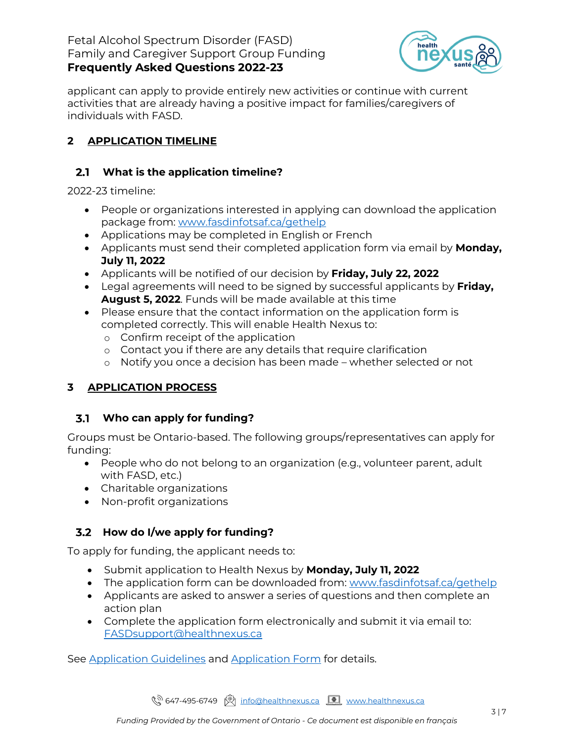#### Fetal Alcohol Spectrum Disorder (FASD) Family and Caregiver Support Group Funding **Frequently Asked Questions 2022-23**



applicant can apply to provide entirely new activities or continue with current activities that are already having a positive impact for families/caregivers of individuals with FASD.

# <span id="page-2-0"></span>**2 APPLICATION TIMELINE**

## <span id="page-2-1"></span>**What is the application timeline?**

2022-23 timeline:

- People or organizations interested in applying can download the application package from: [www.fasdinfotsaf.ca/gethelp](https://fasdinfotsaf.ca/gethelp/)
- Applications may be completed in English or French
- Applicants must send their completed application form via email by **Monday, July 11, 2022**
- Applicants will be notified of our decision by **Friday, July 22, 2022**
- Legal agreements will need to be signed by successful applicants by **Friday, August 5, 2022**. Funds will be made available at this time
- Please ensure that the contact information on the application form is completed correctly. This will enable Health Nexus to:
	- o Confirm receipt of the application
	- o Contact you if there are any details that require clarification
	- o Notify you once a decision has been made whether selected or not

# <span id="page-2-2"></span>**3 APPLICATION PROCESS**

### <span id="page-2-3"></span>**Who can apply for funding?**

Groups must be Ontario-based. The following groups/representatives can apply for funding:

- People who do not belong to an organization (e.g., volunteer parent, adult with FASD, etc.)
- Charitable organizations
- Non-profit organizations

# <span id="page-2-4"></span>**How do I/we apply for funding?**

To apply for funding, the applicant needs to:

- Submit application to Health Nexus by **Monday, July 11, 2022**
- The application form can be downloaded from: [www.fasdinfotsaf.ca/gethelp](http://www.fasdinfotsaf.ca/gethelp)
- Applicants are asked to answer a series of questions and then complete an action plan
- Complete the application form electronically and submit it via email to: [FASDsupport@healthnexus.ca](mailto:FASDsupport@healthnexus.ca)

See [Application Guidelines](https://fasdinfotsaf.ca/wp-content/uploads/2022/06/FASDSubsidy_Guidelines_2022-23.pdf) and [Application Form](https://fasdinfotsaf.ca/wp-content/uploads/2022/06/FASDSubsidy_Application_2022-23.pdf) for details.

९<sup>२)</sup> 647-495-6749 । <u>शिक्षा info@healthnexus.ca</u> <u>[ ण</u> [www.healthnexus.ca](http://www.healthnexus.ca/)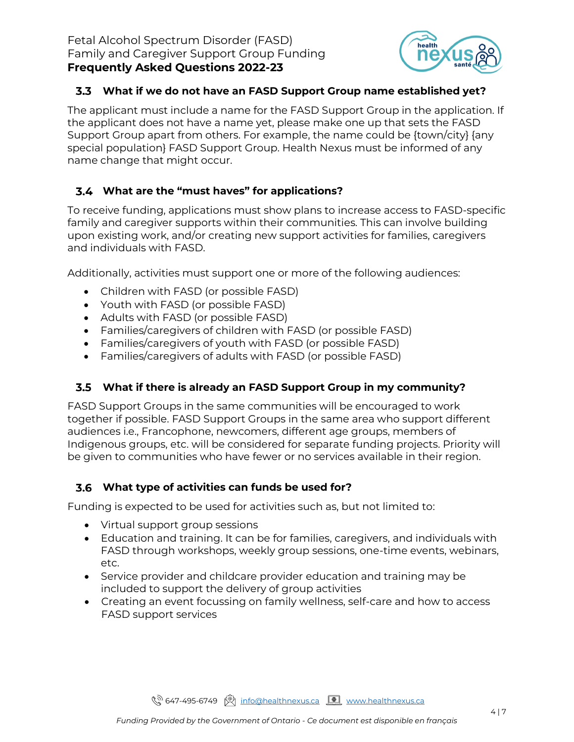

#### <span id="page-3-0"></span>**What if we do not have an FASD Support Group name established yet?**

The applicant must include a name for the FASD Support Group in the application. If the applicant does not have a name yet, please make one up that sets the FASD Support Group apart from others. For example, the name could be {town/city} {any special population} FASD Support Group. Health Nexus must be informed of any name change that might occur.

### <span id="page-3-1"></span>**What are the "must haves" for applications?**

To receive funding, applications must show plans to increase access to FASD-specific family and caregiver supports within their communities. This can involve building upon existing work, and/or creating new support activities for families, caregivers and individuals with FASD.

Additionally, activities must support one or more of the following audiences:

- Children with FASD (or possible FASD)
- Youth with FASD (or possible FASD)
- Adults with FASD (or possible FASD)
- Families/caregivers of children with FASD (or possible FASD)
- Families/caregivers of youth with FASD (or possible FASD)
- Families/caregivers of adults with FASD (or possible FASD)

### <span id="page-3-2"></span>**What if there is already an FASD Support Group in my community?**

FASD Support Groups in the same communities will be encouraged to work together if possible. FASD Support Groups in the same area who support different audiences i.e., Francophone, newcomers, different age groups, members of Indigenous groups, etc. will be considered for separate funding projects. Priority will be given to communities who have fewer or no services available in their region.

### <span id="page-3-3"></span>**What type of activities can funds be used for?**

Funding is expected to be used for activities such as, but not limited to:

- Virtual support group sessions
- Education and training. It can be for families, caregivers, and individuals with FASD through workshops, weekly group sessions, one-time events, webinars, etc.
- Service provider and childcare provider education and training may be included to support the delivery of group activities
- Creating an event focussing on family wellness, self-care and how to access FASD support services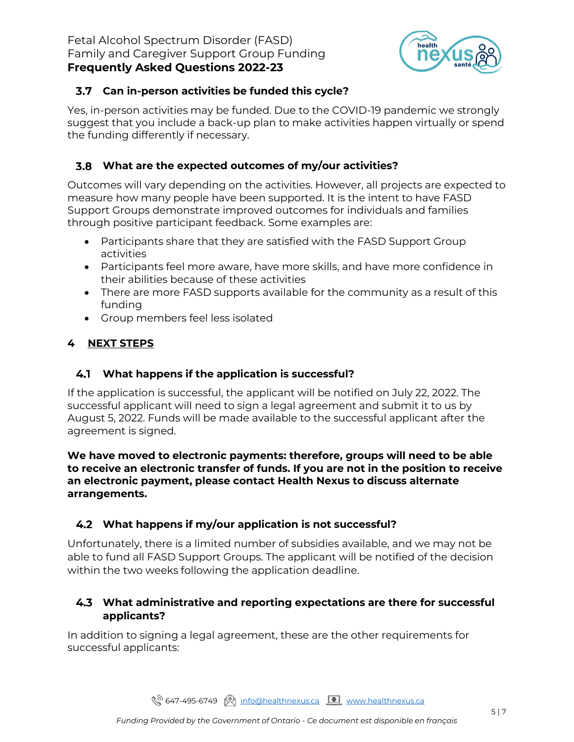

#### <span id="page-4-0"></span>**Can in-person activities be funded this cycle?**

Yes, in-person activities may be funded. Due to the COVID-19 pandemic we strongly suggest that you include a back-up plan to make activities happen virtually or spend the funding differently if necessary.

#### <span id="page-4-1"></span>**What are the expected outcomes of my/our activities?**

Outcomes will vary depending on the activities. However, all projects are expected to measure how many people have been supported. It is the intent to have FASD Support Groups demonstrate improved outcomes for individuals and families through positive participant feedback. Some examples are:

- Participants share that they are satisfied with the FASD Support Group activities
- Participants feel more aware, have more skills, and have more confidence in their abilities because of these activities
- There are more FASD supports available for the community as a result of this funding
- Group members feel less isolated

### <span id="page-4-2"></span>**4 NEXT STEPS**

#### <span id="page-4-3"></span>**What happens if the application is successful?**

If the application is successful, the applicant will be notified on July 22, 2022. The successful applicant will need to sign a legal agreement and submit it to us by August 5, 2022. Funds will be made available to the successful applicant after the agreement is signed.

#### **We have moved to electronic payments: therefore, groups will need to be able to receive an electronic transfer of funds. If you are not in the position to receive an electronic payment, please contact Health Nexus to discuss alternate arrangements.**

### <span id="page-4-4"></span>**What happens if my/our application is not successful?**

Unfortunately, there is a limited number of subsidies available, and we may not be able to fund all FASD Support Groups. The applicant will be notified of the decision within the two weeks following the application deadline.

#### <span id="page-4-5"></span>**What administrative and reporting expectations are there for successful applicants?**

In addition to signing a legal agreement, these are the other requirements for successful applicants:

९<sup>२ 647</sup>-495-6749 । अनिकुलि http://[www.healthnexus.ca](http://www.healthnexus.ca/)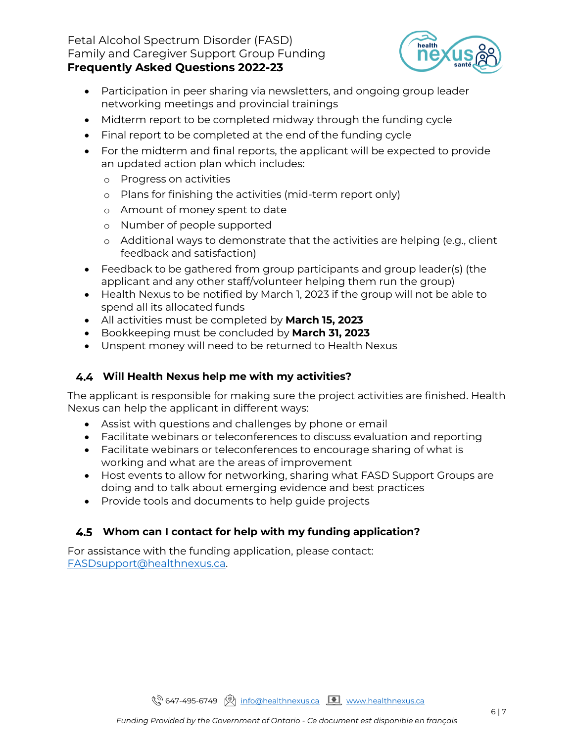#### Fetal Alcohol Spectrum Disorder (FASD) Family and Caregiver Support Group Funding **Frequently Asked Questions 2022-23**



- Participation in peer sharing via newsletters, and ongoing group leader networking meetings and provincial trainings
- Midterm report to be completed midway through the funding cycle
- Final report to be completed at the end of the funding cycle
- For the midterm and final reports, the applicant will be expected to provide an updated action plan which includes:
	- o Progress on activities
	- o Plans for finishing the activities (mid-term report only)
	- o Amount of money spent to date
	- o Number of people supported
	- o Additional ways to demonstrate that the activities are helping (e.g., client feedback and satisfaction)
- Feedback to be gathered from group participants and group leader(s) (the applicant and any other staff/volunteer helping them run the group)
- Health Nexus to be notified by March 1, 2023 if the group will not be able to spend all its allocated funds
- All activities must be completed by **March 15, 2023**
- Bookkeeping must be concluded by **March 31, 2023**
- Unspent money will need to be returned to Health Nexus

# <span id="page-5-0"></span>**Will Health Nexus help me with my activities?**

The applicant is responsible for making sure the project activities are finished. Health Nexus can help the applicant in different ways:

- Assist with questions and challenges by phone or email
- Facilitate webinars or teleconferences to discuss evaluation and reporting
- Facilitate webinars or teleconferences to encourage sharing of what is working and what are the areas of improvement
- Host events to allow for networking, sharing what FASD Support Groups are doing and to talk about emerging evidence and best practices
- Provide tools and documents to help guide projects

# <span id="page-5-1"></span>**Whom can I contact for help with my funding application?**

For assistance with the funding application, please contact: [FASDsupport@healthnexus.ca.](mailto:FASDsupport@healthnexus.ca)